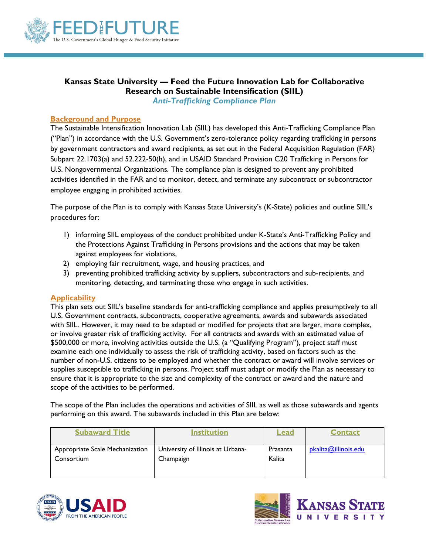

# **Kansas State University — Feed the Future Innovation Lab for Collaborative Research on Sustainable Intensification (SIIL)** *Anti-Trafficking Compliance Plan*

## **Background and Purpose**

The Sustainable Intensification Innovation Lab (SIIL) has developed this Anti-Trafficking Compliance Plan ("Plan") in accordance with the U.S. Government's zero-tolerance policy regarding trafficking in persons by government contractors and award recipients, as set out in the Federal Acquisition Regulation (FAR) Subpart 22.1703(a) and 52.222-50(h), and in USAID Standard Provision C20 Trafficking in Persons for U.S. Nongovernmental Organizations. The compliance plan is designed to prevent any prohibited activities identified in the FAR and to monitor, detect, and terminate any subcontract or subcontractor employee engaging in prohibited activities.

The purpose of the Plan is to comply with Kansas State University's (K-State) policies and outline SIIL's procedures for:

- 1) informing SIIL employees of the conduct prohibited under K-State's Anti-Trafficking Policy and the Protections Against Trafficking in Persons provisions and the actions that may be taken against employees for violations,
- 2) employing fair recruitment, wage, and housing practices, and
- 3) preventing prohibited trafficking activity by suppliers, subcontractors and sub-recipients, and monitoring, detecting, and terminating those who engage in such activities.

## **Applicability**

This plan sets out SIIL's baseline standards for anti-trafficking compliance and applies presumptively to all U.S. Government contracts, subcontracts, cooperative agreements, awards and subawards associated with SIIL. However, it may need to be adapted or modified for projects that are larger, more complex, or involve greater risk of trafficking activity. For all contracts and awards with an estimated value of \$500,000 or more, involving activities outside the U.S. (a "Qualifying Program"), project staff must examine each one individually to assess the risk of trafficking activity, based on factors such as the number of non-U.S. citizens to be employed and whether the contract or award will involve services or supplies susceptible to trafficking in persons. Project staff must adapt or modify the Plan as necessary to ensure that it is appropriate to the size and complexity of the contract or award and the nature and scope of the activities to be performed.

The scope of the Plan includes the operations and activities of SIIL as well as those subawards and agents performing on this award. The subawards included in this Plan are below:

| <b>Subaward Title</b>           | <b>Institution</b>                | <u>Lead</u> | Contact              |
|---------------------------------|-----------------------------------|-------------|----------------------|
| Appropriate Scale Mechanization | University of Illinois at Urbana- | Prasanta    | pkalita@illinois.edu |
| Consortium                      | Champaign                         | Kalita      |                      |



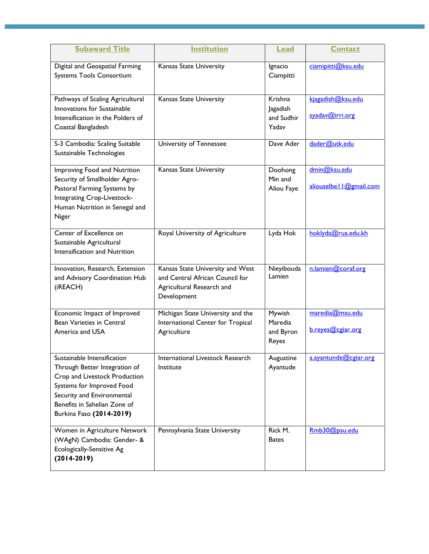| <b>Subaward Title</b>                                                                                                                                                                                                | <b>Institution</b>                                                                                              | <b>Lead</b>                                | <b>Contact</b>                            |
|----------------------------------------------------------------------------------------------------------------------------------------------------------------------------------------------------------------------|-----------------------------------------------------------------------------------------------------------------|--------------------------------------------|-------------------------------------------|
| Digital and Geospatial Farming<br>Systems Tools Consortium                                                                                                                                                           | Kansas State University                                                                                         | Ignacio<br>Ciampitti                       | ciamipitti@ksu.edu                        |
| Pathways of Scaling Agricultural<br>Innovations for Sustainable<br>Intensification in the Polders of<br>Coastal Bangladesh                                                                                           | Kansas State University                                                                                         | Krishna<br>Jagadish<br>and Sudhir<br>Yadav | kjagadish@ksu.edu<br>syadav@irri.org      |
| S-3 Cambodia: Scaling Suitable<br>Sustainable Technologies                                                                                                                                                           | University of Tennessee                                                                                         | Dave Ader                                  | dader@utk.edu                             |
| Improving Food and Nutrition<br>Security of Smallholder Agro-<br>Pastoral Farming Systems by<br>Integrating Crop-Livestock-<br>Human Nutrition in Senegal and<br>Niger                                               | Kansas State University                                                                                         | Doohong<br>Min and<br>Aliou Faye           | dmin@ksu.edu<br>aliouselbe     @gmail.com |
| Center of Excellence on<br>Sustainable Agricultural<br>Intensification and Nutrition                                                                                                                                 | Royal University of Agriculture                                                                                 | Lyda Hok                                   | hoklyda@rua.edu.kh                        |
| Innovation, Research, Extension<br>and Advisory Coordination Hub<br>(iREACH)                                                                                                                                         | Kansas State University and West<br>and Central African Council for<br>Agricultural Research and<br>Development | Nieyibouda<br>Lamien                       | n.lamien@coraf.org                        |
| Economic Impact of Improved<br><b>Bean Varieties in Central</b><br>America and USA                                                                                                                                   | Michigan State University and the<br>International Center for Tropical<br>Agriculture                           | Mywish<br>Maredia<br>and Byron<br>Reyes    | maredia@msu.edu<br>b.reyes@cgiar.org      |
| Sustainable Intensification<br>Through Better Integration of<br>Crop and Livestock Production<br>Systems for Improved Food<br>Security and Environmental<br>Benefits in Sahelian Zone of<br>Burkina Faso (2014-2019) | International Livestock Research<br>Institute                                                                   | Augustine<br>Ayantude                      | a.ayantunde@cgiar.org                     |
| Women in Agriculture Network<br>(WAgN) Cambodia: Gender- &<br>Ecologically-Sensitive Ag<br>$(2014-2019)$                                                                                                             | Pennsylvania State University                                                                                   | Rick M.<br><b>Bates</b>                    | Rmb30@psu.edu                             |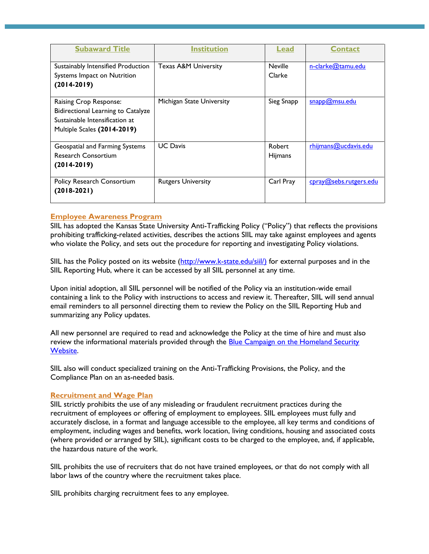| <b>Subaward Title</b>                                                                                                         | Institution               | Lead                     | <b>Contact</b>         |
|-------------------------------------------------------------------------------------------------------------------------------|---------------------------|--------------------------|------------------------|
| Sustainably Intensified Production<br>Systems Impact on Nutrition<br>$(2014-2019)$                                            | Texas A&M University      | <b>Neville</b><br>Clarke | n-clarke@tamu.edu      |
| Raising Crop Response:<br>Bidirectional Learning to Catalyze<br>Sustainable Intensification at<br>Multiple Scales (2014-2019) | Michigan State University | Sieg Snapp               | snapp@msu.edu          |
| Geospatial and Farming Systems<br><b>Research Consortium</b><br>$(2014-2019)$                                                 | <b>UC</b> Davis           | Robert<br>Hijmans        | rhijmans@ucdavis.edu   |
| Policy Research Consortium<br>$(2018-2021)$                                                                                   | <b>Rutgers University</b> | Carl Pray                | cpray@sebs.rutgers.edu |

## **Employee Awareness Program**

SIIL has adopted the Kansas State University Anti-Trafficking Policy ("Policy") that reflects the provisions prohibiting trafficking-related activities, describes the actions SIIL may take against employees and agents who violate the Policy, and sets out the procedure for reporting and investigating Policy violations.

SIIL has the Policy posted on its website [\(http://www.k-state.edu/siil/\)](http://www.k-state.edu/siil/) for external purposes and in the SIIL Reporting Hub, where it can be accessed by all SIIL personnel at any time.

Upon initial adoption, all SIIL personnel will be notified of the Policy via an institution-wide email containing a link to the Policy with instructions to access and review it. Thereafter, SIIL will send annual email reminders to all personnel directing them to review the Policy on the SIIL Reporting Hub and summarizing any Policy updates.

All new personnel are required to read and acknowledge the Policy at the time of hire and must also review the informational materials provided through the [Blue Campaign on the Homeland Security](https://www.dhs.gov/blue-campaign/library)  [Website.](https://www.dhs.gov/blue-campaign/library)

SIIL also will conduct specialized training on the Anti-Trafficking Provisions, the Policy, and the Compliance Plan on an as-needed basis.

## **Recruitment and Wage Plan**

SIIL strictly prohibits the use of any misleading or fraudulent recruitment practices during the recruitment of employees or offering of employment to employees. SIIL employees must fully and accurately disclose, in a format and language accessible to the employee, all key terms and conditions of employment, including wages and benefits, work location, living conditions, housing and associated costs (where provided or arranged by SIIL), significant costs to be charged to the employee, and, if applicable, the hazardous nature of the work.

SIIL prohibits the use of recruiters that do not have trained employees, or that do not comply with all labor laws of the country where the recruitment takes place.

SIIL prohibits charging recruitment fees to any employee.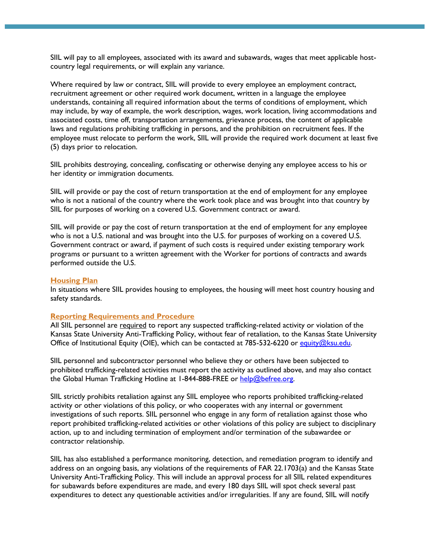SIIL will pay to all employees, associated with its award and subawards, wages that meet applicable hostcountry legal requirements, or will explain any variance.

Where required by law or contract, SIIL will provide to every employee an employment contract, recruitment agreement or other required work document, written in a language the employee understands, containing all required information about the terms of conditions of employment, which may include, by way of example, the work description, wages, work location, living accommodations and associated costs, time off, transportation arrangements, grievance process, the content of applicable laws and regulations prohibiting trafficking in persons, and the prohibition on recruitment fees. If the employee must relocate to perform the work, SIIL will provide the required work document at least five (5) days prior to relocation.

SIIL prohibits destroying, concealing, confiscating or otherwise denying any employee access to his or her identity or immigration documents.

SIIL will provide or pay the cost of return transportation at the end of employment for any employee who is not a national of the country where the work took place and was brought into that country by SIIL for purposes of working on a covered U.S. Government contract or award.

SIIL will provide or pay the cost of return transportation at the end of employment for any employee who is not a U.S. national and was brought into the U.S. for purposes of working on a covered U.S. Government contract or award, if payment of such costs is required under existing temporary work programs or pursuant to a written agreement with the Worker for portions of contracts and awards performed outside the U.S.

#### **Housing Plan**

In situations where SIIL provides housing to employees, the housing will meet host country housing and safety standards.

#### **Reporting Requirements and Procedure**

All SIIL personnel are required to report any suspected trafficking-related activity or violation of the Kansas State University Anti-Trafficking Policy, without fear of retaliation, to the Kansas State University Office of Institutional Equity (OIE), which can be contacted at 785-532-6220 or [equity@ksu.edu.](mailto:equity@ksu.edu)

SIIL personnel and subcontractor personnel who believe they or others have been subjected to prohibited trafficking-related activities must report the activity as outlined above, and may also contact the Global Human Trafficking Hotline at 1-844-888-FREE or [help@befree.org.](mailto:help@befree.org)

SIIL strictly prohibits retaliation against any SIIL employee who reports prohibited trafficking-related activity or other violations of this policy, or who cooperates with any internal or government investigations of such reports. SIIL personnel who engage in any form of retaliation against those who report prohibited trafficking-related activities or other violations of this policy are subject to disciplinary action, up to and including termination of employment and/or termination of the subawardee or contractor relationship.

SIIL has also established a performance monitoring, detection, and remediation program to identify and address on an ongoing basis, any violations of the requirements of FAR 22.1703(a) and the Kansas State University Anti-Trafficking Policy. This will include an approval process for all SIIL related expenditures for subawards before expenditures are made, and every 180 days SIIL will spot check several past expenditures to detect any questionable activities and/or irregularities. If any are found, SIIL will notify